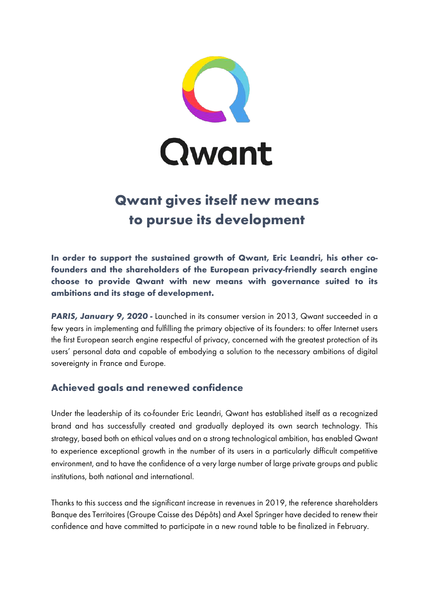

# **Qwant gives itself new means to pursue its development**

**In order to support the sustained growth of Qwant, Eric Leandri, his other cofounders and the shareholders of the European privacy-friendly search engine choose to provide Qwant with new means with governance suited to its ambitions and its stage of development.**

**PARIS, January 9, 2020** - Launched in its consumer version in 2013, Qwant succeeded in a few years in implementing and fulfilling the primary objective of its founders: to offer Internet users the first European search engine respectful of privacy, concerned with the greatest protection of its users' personal data and capable of embodying a solution to the necessary ambitions of digital sovereignty in France and Europe.

## **Achieved goals and renewed confidence**

Under the leadership of its co-founder Eric Leandri, Qwant has established itself as a recognized brand and has successfully created and gradually deployed its own search technology. This strategy, based both on ethical values and on a strong technological ambition, has enabled Qwant to experience exceptional growth in the number of its users in a particularly difficult competitive environment, and to have the confidence of a very large number of large private groups and public institutions, both national and international.

Thanks to this success and the significant increase in revenues in 2019, the reference shareholders Banque des Territoires (Groupe Caisse des Dépôts) and Axel Springer have decided to renew their confidence and have committed to participate in a new round table to be finalized in February.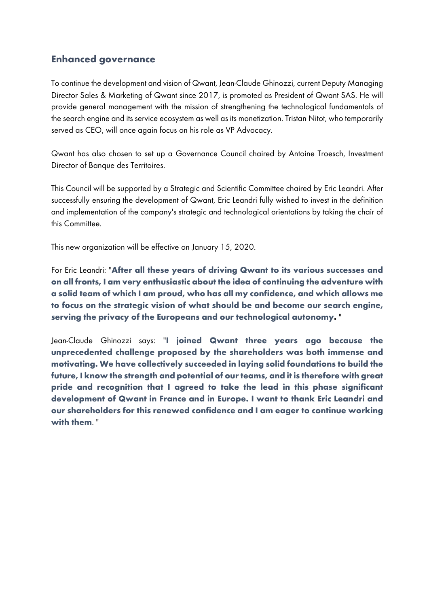## **Enhanced governance**

To continue the development and vision of Qwant, Jean-Claude Ghinozzi, current Deputy Managing Director Sales & Marketing of Qwant since 2017, is promoted as President of Qwant SAS. He will provide general management with the mission of strengthening the technological fundamentals of the search engine and its service ecosystem as well as its monetization. Tristan Nitot, who temporarily served as CEO, will once again focus on his role as VP Advocacy.

Qwant has also chosen to set up a Governance Council chaired by Antoine Troesch, Investment Director of Banque des Territoires.

This Council will be supported by a Strategic and Scientific Committee chaired by Eric Leandri. After successfully ensuring the development of Qwant, Eric Leandri fully wished to invest in the definition and implementation of the company's strategic and technological orientations by taking the chair of this Committee.

This new organization will be effective on January 15, 2020.

For Eric Leandri: "**After all these years of driving Qwant to its various successes and on all fronts, I am very enthusiastic about the idea of continuing the adventure with a solid team of which I am proud, who has all my confidence, and which allows me to focus on the strategic vision of what should be and become our search engine, serving the privacy of the Europeans and our technological autonomy.** "

Jean-Claude Ghinozzi says: "**I joined Qwant three years ago because the unprecedented challenge proposed by the shareholders was both immense and motivating. We have collectively succeeded in laying solid foundations to build the future, I know the strength and potential of our teams, and it is therefore with great pride and recognition that I agreed to take the lead in this phase significant development of Qwant in France and in Europe. I want to thank Eric Leandri and our shareholders for this renewed confidence and I am eager to continue working with them**. "